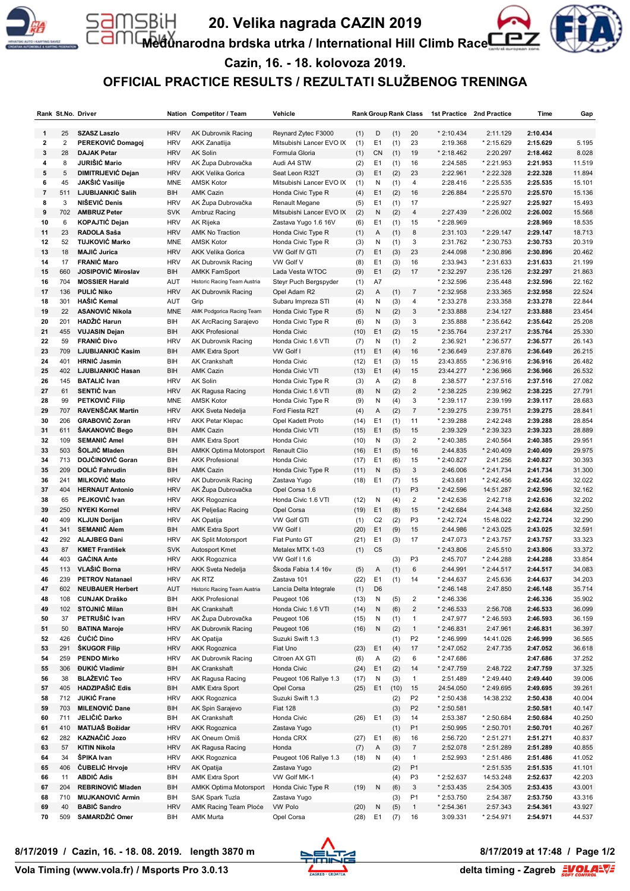

# **20. Velika nagrada CAZIN 2019**

**Međunarodna brdska utrka / International Hill Climb Race**



**Cazin, 16. - 18. kolovoza 2019.**

# **OFFICIAL PRACTICE RESULTS / REZULTATI SLUŽBENOG TRENINGA**

|                         |                | Rank St.No. Driver                         |            | Nation Competitor / Team      | Vehicle                  |      |                | <b>Rank Group Rank Class</b> |                         | 1st Practice | 2nd Practice | Time                 | Gap    |
|-------------------------|----------------|--------------------------------------------|------------|-------------------------------|--------------------------|------|----------------|------------------------------|-------------------------|--------------|--------------|----------------------|--------|
|                         |                |                                            |            |                               |                          |      |                |                              |                         |              |              |                      |        |
| 1                       | 25             | <b>SZASZ Laszlo</b>                        | <b>HRV</b> | AK Dubrovnik Racing           | Reynard Zytec F3000      | (1)  | D              | (1)                          | 20                      | $*2:10.434$  | 2:11.129     | 2:10.434             |        |
| 2                       | $\overline{2}$ | PEREKOVIĆ Domagoj                          | <b>HRV</b> | AKK Zanatlija                 | Mitsubishi Lancer EVO IX | (1)  | E <sub>1</sub> | (1)                          | 23                      | 2:19.368     | * 2:15.629   | 2:15.629             | 5.195  |
| 3                       | 28             | <b>DAJAK Petar</b>                         | <b>HRV</b> | <b>AK Solin</b>               | Formula Gloria           | (1)  | CN             | (1)                          | 19                      | * 2:18.462   | 2:20.297     | 2:18.462             | 8.028  |
| 4                       | 8              | JURIŠIĆ Mario                              | <b>HRV</b> | AK Župa Dubrovačka            | Audi A4 STW              | (2)  | E <sub>1</sub> | (1)                          | 16                      | 2:24.585     | * 2:21.953   | 2:21.953             | 11.519 |
| 5                       | 5              | DIMITRIJEVIĆ Dejan                         | <b>HRV</b> | <b>AKK Velika Gorica</b>      | Seat Leon R32T           | (3)  | E <sub>1</sub> | (2)                          | 23                      | 2:22.961     | * 2:22.328   | 2:22.328             | 11.894 |
| 6                       | 45             | JAKŠIĆ Vasilije                            | <b>MNE</b> | <b>AMSK Kotor</b>             | Mitsubishi Lancer EVO IX | (1)  | N              | (1)                          | $\overline{4}$          | 2:28.416     | * 2:25.535   | 2:25.535             | 15.101 |
| $\overline{\mathbf{r}}$ | 511            | LJUBIJANKIĆ Salih                          | BIH        | <b>AMK Cazin</b>              | Honda Civic Type R       | (4)  | E <sub>1</sub> | (2)                          | 16                      | 2:26.884     | * 2:25.570   | 2:25.570             | 15.136 |
| 8                       | 3              | NIŠEVIĆ Denis                              | <b>HRV</b> | AK Župa Dubrovačka            | Renault Megane           | (5)  | E <sub>1</sub> | (1)                          | 17                      |              | * 2:25.927   | 2:25.927             | 15.493 |
| 9                       | 702            | <b>AMBRUZ Peter</b>                        | <b>SVK</b> | Ambruz Racing                 | Mitsubishi Lancer EVO IX | (2)  | N              | (2)                          | $\overline{4}$          | 2:27.439     | * 2:26.002   | 2:26.002             | 15.568 |
| 10                      | 6              | KOPAJTIĆ Dejan<br>RADOLA Saša              | <b>HRV</b> | <b>AK Rijeka</b>              | Zastava Yugo 1.6 16V     | (6)  | E <sub>1</sub> | (1)                          | 15                      | * 2:28.969   |              | 2:28.969<br>2:29.147 | 18.535 |
| 11                      | 23             |                                            | <b>HRV</b> | <b>AMK No Traction</b>        | Honda Civic Type R       | (1)  | Α              | (1)                          | 8                       | 2:31.103     | * 2:29.147   |                      | 18.713 |
| 12                      | 52             | <b>TUJKOVIĆ Marko</b>                      | MNE        | <b>AMSK Kotor</b>             | Honda Civic Type R       | (3)  | N              | (1)                          | 3                       | 2:31.762     | $*2:30.753$  | 2:30.753             | 20.319 |
| 13                      | 18             | <b>MAJIĆ Jurica</b>                        | <b>HRV</b> | <b>AKK Velika Gorica</b>      | VW Golf IV GTI           | (7)  | E <sub>1</sub> | (3)                          | 23                      | 2:44.098     | *2:30.896    | 2:30.896             | 20.462 |
| 14                      | 17             | <b>FRANIC Maro</b>                         | <b>HRV</b> | AK Dubrovnik Racing           | VW Golf V                | (8)  | E <sub>1</sub> | (3)                          | 16                      | 2:33.943     | $*2:31.633$  | 2:31.633             | 21.199 |
| 15                      | 660            | <b>JOSIPOVIĆ Miroslav</b>                  | BIH        | <b>AMKK FamSport</b>          | Lada Vesta WTOC          | (9)  | E1             | (2)                          | 17                      | * 2:32.297   | 2:35.126     | 2:32.297             | 21.863 |
| 16                      | 704            | <b>MOSSIER Harald</b><br><b>PULIĆ Niko</b> | AUT        | Historic Racing Team Austria  | Steyr Puch Bergspyder    | (1)  | A7             |                              |                         | * 2:32.596   | 2:35.448     | 2:32.596             | 22.162 |
| 17                      | 136            |                                            | <b>HRV</b> | <b>AK Dubrovnik Racing</b>    | Opel Adam R2             | (2)  | Α              | (1)                          | $\overline{7}$          | * 2:32.958   | 2:33.365     | 2:32.958             | 22.524 |
| 18                      | 301            | HAŠIĆ Kemal                                | AUT        | Grip                          | Subaru Impreza STI       | (4)  | N              | (3)                          | $\overline{4}$          | * 2:33.278   | 2:33.358     | 2:33.278             | 22.844 |
| 19                      | 22             | <b>ASANOVIĆ Nikola</b>                     | <b>MNE</b> | AMK Podgorica Racing Team     | Honda Civic Type R       | (5)  | N              | (2)                          | 3                       | * 2:33.888   | 2:34.127     | 2:33.888             | 23.454 |
| 20                      | 201            | <b>HADŽIĆ Harun</b>                        | BIH        | AK ArcRacing Sarajevo         | Honda Civic Type R       | (6)  | N              | (3)                          | 3                       | 2:35.888     | * 2:35.642   | 2:35.642             | 25.208 |
| 21                      | 455            | <b>VUJASIN Dejan</b>                       | BIH        | <b>AKK Profesional</b>        | Honda Civic              | (10) | E <sub>1</sub> | (2)                          | 15                      | * 2:35.764   | 2:37.217     | 2:35.764             | 25.330 |
| 22                      | 59             | <b>FRANIĆ Đivo</b>                         | <b>HRV</b> | AK Dubrovnik Racing           | Honda Civic 1.6 VTI      | (7)  | N              | (1)                          | $\overline{2}$          | 2:36.921     | * 2:36.577   | 2:36.577             | 26.143 |
| 23                      | 709            | <b>LJUBIJANKIĆ Kasim</b>                   | BIH        | <b>AMK Extra Sport</b>        | VW Golf I                | (11) | E <sub>1</sub> | (4)                          | 16                      | * 2:36.649   | 2:37.876     | 2:36.649             | 26.215 |
| 24                      | 401            | <b>HRNIĆ Jasmin</b>                        | BIH        | <b>AK Crankshaft</b>          | Honda Civic              | (12) | E <sub>1</sub> | (3)                          | 15                      | 23:43.855    | $*2:36.916$  | 2:36.916             | 26.482 |
| 25                      | 402            | LJUBIJANKIĆ Hasan                          | BIH        | <b>AMK Cazin</b>              | Honda Civic VTI          | (13) | E1             | (4)                          | 15                      | 23:44.277    | $*2:36.966$  | 2:36.966             | 26.532 |
| 26                      | 145            | <b>BATALIĆ</b> Ivan                        | <b>HRV</b> | AK Solin                      | Honda Civic Type R       | (3)  | Α              | (2)                          | 8                       | 2:38.577     | * 2:37.516   | 2:37.516             | 27.082 |
| 27                      | 61             | <b>SENTIĆ Ivan</b>                         | <b>HRV</b> | AK Ragusa Racing              | Honda Civic 1.6 VTI      | (8)  | N              | (2)                          | $\overline{\mathbf{c}}$ | * 2:38.225   | 2:39.962     | 2:38.225             | 27.791 |
| 28                      | 99             | PETKOVIĆ Filip                             | <b>MNE</b> | <b>AMSK Kotor</b>             | Honda Civic Type R       | (9)  | N              | (4)                          | 3                       | $*2:39.117$  | 2:39.199     | 2:39.117             | 28.683 |
| 29                      | 707            | RAVENŠČAK Martin                           | <b>HRV</b> | <b>AKK Sveta Nedelja</b>      | Ford Fiesta R2T          | (4)  | Α              | (2)                          | $\boldsymbol{7}$        | * 2:39.275   | 2:39.751     | 2:39.275             | 28.841 |
| 30                      | 206            | <b>GRABOVIĆ Zoran</b>                      | <b>HRV</b> | <b>AKK Petar Klepac</b>       | Opel Kadett Proto        | (14) | E <sub>1</sub> | (1)                          | 11                      | * 2:39.288   | 2:42.248     | 2:39.288             | 28.854 |
| 31                      | 611            | ŠAKANOVIĆ Bego                             | BIH        | <b>AMK Cazin</b>              | Honda Civic VTI          | (15) | E <sub>1</sub> | (5)                          | 15                      | 2:39.329     | * 2:39.323   | 2:39.323             | 28.889 |
| 32                      | 109            | <b>SEMANIĆ Amel</b>                        | BIH        | <b>AMK Extra Sport</b>        | Honda Civic              | (10) | N              | (3)                          | $\overline{2}$          | * 2:40.385   | 2:40.564     | 2:40.385             | 29.951 |
| 33                      | 503            | ŠOLJIĆ Mladen                              | BIH        | <b>AMKK Optima Motorsport</b> | Renault Clio             | (16) | E <sub>1</sub> | (5)                          | 16                      | 2:44.835     | $*2:40.409$  | 2:40.409             | 29.975 |
| 34                      | 713            | DOJČINOVIĆ Goran                           | BIH        | <b>AKK Profesional</b>        | Honda Civic              | (17) | E <sub>1</sub> | (6)                          | 15                      | * 2:40.827   | 2:41.256     | 2:40.827             | 30.393 |
| 35                      | 209            | <b>DOLIĆ Fahrudin</b>                      | BIH        | <b>AMK Cazin</b>              | Honda Civic Type R       | (11) | N              | (5)                          | 3                       | 2:46.006     | * 2:41.734   | 2:41.734             | 31.300 |
| 36                      | 241            | <b>MILKOVIĆ Mato</b>                       | <b>HRV</b> | AK Dubrovnik Racing           | Zastava Yugo             | (18) | E <sub>1</sub> | (7)                          | 15                      | 2:43.681     | $*2:42.456$  | 2:42.456             | 32.022 |
| 37                      | 404            | <b>HERNAUT Antonio</b>                     | <b>HRV</b> | AK Župa Dubrovačka            | Opel Corsa 1.6           |      |                | (1)                          | P <sub>3</sub>          | * 2:42.596   | 14:51.287    | 2:42.596             | 32.162 |
| 38                      | 65             | PEJKOVIĆ Ivan                              | <b>HRV</b> | <b>AKK Rogoznica</b>          | Honda Civic 1.6 VTI      | (12) | N              | (4)                          | $\overline{2}$          | * 2:42.636   | 2:42.718     | 2:42.636             | 32.202 |
| 39                      | 250            | <b>NYEKI Kornel</b>                        | <b>HRV</b> | AK Pelješac Racing            | Opel Corsa               | (19) | E <sub>1</sub> | (8)                          | 15                      | * 2:42.684   | 2:44.348     | 2:42.684             | 32.250 |
| 40                      | 409            | <b>KLJUN Dorijan</b>                       | <b>HRV</b> | AK Opatija                    | <b>VW Golf GTI</b>       | (1)  | C <sub>2</sub> | (2)                          | P <sub>3</sub>          | * 2:42.724   | 15:48.022    | 2:42.724             | 32.290 |
| 41                      | 341            | <b>SEMANIĆ Alem</b>                        | BIH        | <b>AMK Extra Sport</b>        | VW Golf I                | (20) | E1             | (9)                          | 15                      | 2:44.986     | $*2:43.025$  | 2:43.025             | 32.591 |
| 42                      | 292            | <b>ALAJBEG Đani</b>                        | <b>HRV</b> | <b>AK Split Motorsport</b>    | Fiat Punto GT            | (21) | E <sub>1</sub> | (3)                          | 17                      | 2:47.073     | * 2:43.757   | 2:43.757             | 33.323 |
| 43                      | 87             | <b>KMET František</b>                      | <b>SVK</b> | Autosport Kmet                | Metalex MTX 1-03         | (1)  | C <sub>5</sub> |                              |                         | $*2:43.806$  | 2:45.510     | 2:43.806             | 33.372 |
| 44                      | 403            | <b>GAĆINA Ante</b>                         | <b>HRV</b> | <b>AKK Rogoznica</b>          | VW Golf I 1.6            |      |                | (3)                          | P <sub>3</sub>          | 2:45.707     | * 2:44.288   | 2:44.288             | 33.854 |
| 45                      | 113            | VLAŠIĆ Borna                               | <b>HRV</b> | <b>AKK Sveta Nedelja</b>      | Škoda Fabia 1.4 16v      | (5)  | Α              | (1)                          | 6                       | 2:44.991     | $*2:44.517$  | 2:44.517             | 34.083 |
| 46                      | 239            | <b>PETROV Natanael</b>                     | <b>HRV</b> | AK RTZ                        | Zastava 101              | (22) | E <sub>1</sub> | (1)                          | 14                      | $*2:44.637$  | 2:45.636     | 2:44.637             | 34.203 |
| 47                      | 602            | <b>NEUBAUER Herbert</b>                    | AUT        | Historic Racing Team Austria  | Lancia Delta Integrale   | (1)  | D <sub>6</sub> |                              |                         | * 2:46.148   | 2:47.850     | 2:46.148             | 35.714 |
| 48                      | 108            | <b>CUNJAK Draško</b>                       | BIH        | <b>AKK Profesional</b>        | Peugeot 106              | (13) | N              | (5)                          | $\overline{\mathbf{c}}$ | $*2:46.336$  |              | 2:46.336             | 35.902 |
| 49                      | 102            | <b>STOJNIĆ Milan</b>                       | BIH        | <b>AK Crankshaft</b>          | Honda Civic 1.6 VTI      | (14) | N              | (6)                          | $\sqrt{2}$              | $*2:46.533$  | 2:56.708     | 2:46.533             | 36.099 |
| 50                      | 37             | PETRUŠIĆ Ivan                              | <b>HRV</b> | AK Župa Dubrovačka            | Peugeot 106              | (15) | N              | (1)                          | $\mathbf{1}$            | 2:47.977     | * 2:46.593   | 2:46.593             | 36.159 |
| 51                      | 50             | <b>BATINA Maroje</b>                       | <b>HRV</b> | AK Dubrovnik Racing           | Peugeot 106              | (16) | N              | (2)                          | $\mathbf{1}$            | $*2:46.831$  | 2:47.961     | 2:46.831             | 36.397 |
| 52                      | 426            | ĆUĆIĆ Dino                                 | <b>HRV</b> | AK Opatija                    | Suzuki Swift 1.3         |      |                | (1)                          | P <sub>2</sub>          | * 2:46.999   | 14:41.026    | 2:46.999             | 36.565 |
| 53                      | 291            | <b>SKUGOR Filip</b>                        | <b>HRV</b> | <b>AKK Rogoznica</b>          | Fiat Uno                 | (23) | E <sub>1</sub> | (4)                          | 17                      | * 2:47.052   | 2:47.735     | 2:47.052             | 36.618 |
| 54                      | 259            | <b>PENDO Mirko</b>                         | <b>HRV</b> | AK Dubrovnik Racing           | Citroen AX GTI           | (6)  | Α              | (2)                          | 6                       | * 2:47.686   |              | 2:47.686             | 37.252 |
| 55                      | 306            | <b>ĐUKIĆ Vladimir</b>                      | BIH        | <b>AK Crankshaft</b>          | Honda Civic              | (24) | E <sub>1</sub> | (2)                          | 14                      | * 2:47.759   | 2:48.722     | 2:47.759             | 37.325 |
| 56                      | 38             | <b>BLAŽEVIĆ Teo</b>                        | <b>HRV</b> | AK Ragusa Racing              | Peugeot 106 Rallye 1.3   | (17) | N              | (3)                          | $\mathbf{1}$            | 2:51.489     | * 2:49.440   | 2:49.440             | 39.006 |
| 57                      | 405            | HADZIPAŠIĆ Edis                            | BIH        | <b>AMK Extra Sport</b>        | Opel Corsa               | (25) | E <sub>1</sub> | (10)                         | 15                      | 24:54.050    | * 2:49.695   | 2:49.695             | 39.261 |
| 58                      | 712            | JUKIĆ Frane                                | <b>HRV</b> | <b>AKK Rogoznica</b>          | Suzuki Swift 1.3         |      |                | (2)                          | P <sub>2</sub>          | $*2:50.438$  | 14:38.232    | 2:50.438             | 40.004 |
| 59                      | 703            | <b>MILENOVIĆ Dane</b>                      | BIH        | AK Spin Sarajevo              | <b>Fiat 128</b>          |      |                | (3)                          | P <sub>2</sub>          | * 2:50.581   |              | 2:50.581             | 40.147 |
| 60                      | 711            | JELIČIĆ Darko                              | BIH        | AK Crankshaft                 | Honda Civic              | (26) | E <sub>1</sub> | (3)                          | 14                      | 2:53.387     | * 2:50.684   | 2:50.684             | 40.250 |
| 61                      | 410            | <b>MATIJAŠ Božidar</b>                     | <b>HRV</b> | <b>AKK Rogoznica</b>          | Zastava Yugo             |      |                | (1)                          | P <sub>1</sub>          | 2:50.995     | $*2:50.701$  | 2:50.701             | 40.267 |
| 62                      | 282            | KAZNAČIĆ Jozo                              | <b>HRV</b> | AK Oneum Omiš                 | Honda CRX                | (27) | E <sub>1</sub> | (6)                          | 16                      | 2:56.720     | * 2:51.271   | 2:51.271             | 40.837 |
| 63                      | 57             | <b>KITIN Nikola</b>                        | <b>HRV</b> | AK Ragusa Racing              | Honda                    | (7)  | Α              | (3)                          | $\boldsymbol{7}$        | 2:52.078     | * 2:51.289   | 2:51.289             | 40.855 |
| 64                      | 34             | ŠPIKA Ivan                                 | <b>HRV</b> | <b>AKK Rogoznica</b>          | Peugeot 106 Rallye 1.3   | (18) | N              | (4)                          | $\mathbf{1}$            | 2:52.993     | * 2:51.486   | 2:51.486             | 41.052 |
| 65                      | 406            | <b>ČUBELIĆ Hrvoje</b>                      | <b>HRV</b> | AK Opatija                    | Zastava Yugo             |      |                | (2)                          | P <sub>1</sub>          |              | $*2:51.535$  | 2:51.535             | 41.101 |
| 66                      | 11             | <b>ABDIĆ Adis</b>                          | BIH        | <b>AMK Extra Sport</b>        | VW Golf MK-1             |      |                | (4)                          | P <sub>3</sub>          | * 2:52.637   | 14:53.248    | 2:52.637             | 42.203 |
| 67                      | 204            | REBRINOVIĆ Mladen                          | BIH        | <b>AMKK Optima Motorsport</b> | Honda Civic Type R       | (19) | N              | (6)                          | 3                       | $*2:53.435$  | 2:54.305     | 2:53.435             | 43.001 |
| 68                      | 710            | <b>MUJKANOVIĆ Armin</b>                    | BIH        | <b>SAK Spark Tuzla</b>        | Zastava Yugo             |      |                | (3)                          | P <sub>1</sub>          | * 2:53.750   | 2:54.387     | 2:53.750             | 43.316 |
| 69                      | 40             | <b>BABIĆ Sandro</b>                        | <b>HRV</b> | AMK Racing Team Ploće         | <b>VW Polo</b>           | (20) | N              | (5)                          | $\overline{1}$          | $*2:54.361$  | 2:57.343     | 2:54.361             | 43.927 |
| 70                      | 509            | SAMARDŽIĆ Omer                             | BIH        | AMK Murta                     | Opel Corsa               | (28) | E <sub>1</sub> | (7)                          | 16                      | 3:09.331     | * 2:54.971   | 2:54.971             | 44.537 |